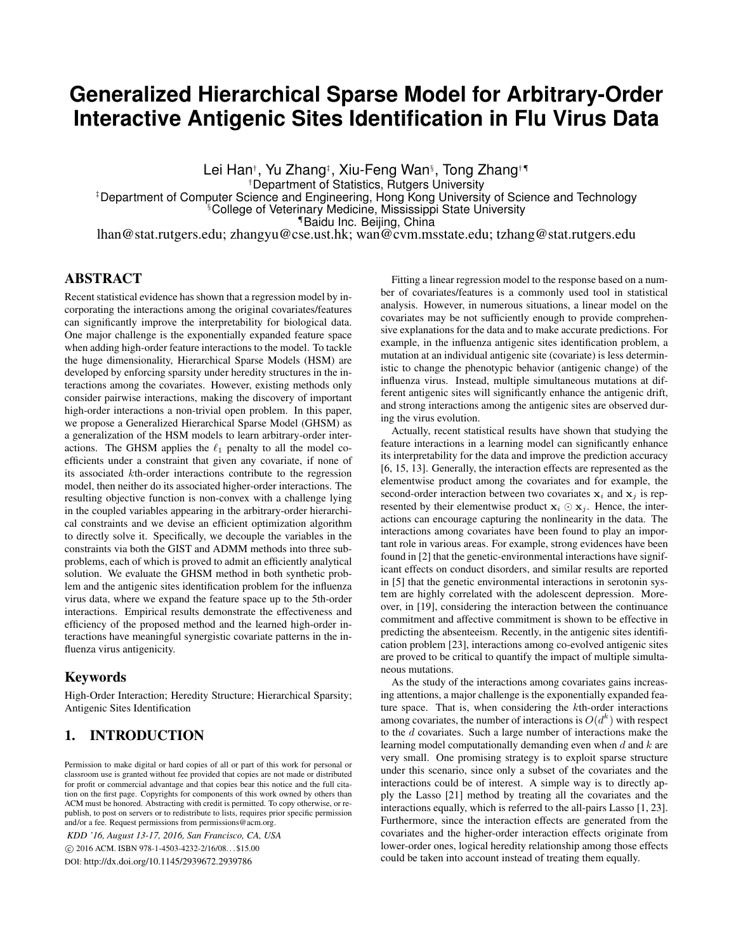# **Generalized Hierarchical Sparse Model for Arbitrary-Order Interactive Antigenic Sites Identification in Flu Virus Data**

Lei Han†, Yu Zhang‡, Xiu-Feng Wan§, Tong Zhang†¶ †Department of Statistics, Rutgers University ‡Department of Computer Science and Engineering, Hong Kong University of Science and Technology §College of Veterinary Medicine, Mississippi State University ¶Baidu Inc. Beijing, China lhan@stat.rutgers.edu; zhangyu@cse.ust.hk; wan@cvm.msstate.edu; tzhang@stat.rutgers.edu

## ABSTRACT

Recent statistical evidence has shown that a regression model by incorporating the interactions among the original covariates/features can significantly improve the interpretability for biological data. One major challenge is the exponentially expanded feature space when adding high-order feature interactions to the model. To tackle the huge dimensionality, Hierarchical Sparse Models (HSM) are developed by enforcing sparsity under heredity structures in the interactions among the covariates. However, existing methods only consider pairwise interactions, making the discovery of important high-order interactions a non-trivial open problem. In this paper, we propose a Generalized Hierarchical Sparse Model (GHSM) as a generalization of the HSM models to learn arbitrary-order interactions. The GHSM applies the  $\ell_1$  penalty to all the model coefficients under a constraint that given any covariate, if none of its associated kth-order interactions contribute to the regression model, then neither do its associated higher-order interactions. The resulting objective function is non-convex with a challenge lying in the coupled variables appearing in the arbitrary-order hierarchical constraints and we devise an efficient optimization algorithm to directly solve it. Specifically, we decouple the variables in the constraints via both the GIST and ADMM methods into three subproblems, each of which is proved to admit an efficiently analytical solution. We evaluate the GHSM method in both synthetic problem and the antigenic sites identification problem for the influenza virus data, where we expand the feature space up to the 5th-order interactions. Empirical results demonstrate the effectiveness and efficiency of the proposed method and the learned high-order interactions have meaningful synergistic covariate patterns in the influenza virus antigenicity.

## Keywords

High-Order Interaction; Heredity Structure; Hierarchical Sparsity; Antigenic Sites Identification

# 1. INTRODUCTION

Permission to make digital or hard copies of all or part of this work for personal or classroom use is granted without fee provided that copies are not made or distributed for profit or commercial advantage and that copies bear this notice and the full citation on the first page. Copyrights for components of this work owned by others than ACM must be honored. Abstracting with credit is permitted. To copy otherwise, or republish, to post on servers or to redistribute to lists, requires prior specific permission and/or a fee. Request permissions from permissions@acm.org.

*KDD '16, August 13-17, 2016, San Francisco, CA, USA* c 2016 ACM. ISBN 978-1-4503-4232-2/16/08. . . \$15.00 DOI: http://dx.doi.org/10.1145/2939672.2939786

Fitting a linear regression model to the response based on a number of covariates/features is a commonly used tool in statistical analysis. However, in numerous situations, a linear model on the covariates may be not sufficiently enough to provide comprehensive explanations for the data and to make accurate predictions. For example, in the influenza antigenic sites identification problem, a mutation at an individual antigenic site (covariate) is less deterministic to change the phenotypic behavior (antigenic change) of the influenza virus. Instead, multiple simultaneous mutations at different antigenic sites will significantly enhance the antigenic drift, and strong interactions among the antigenic sites are observed during the virus evolution.

Actually, recent statistical results have shown that studying the feature interactions in a learning model can significantly enhance its interpretability for the data and improve the prediction accuracy [6, 15, 13]. Generally, the interaction effects are represented as the elementwise product among the covariates and for example, the second-order interaction between two covariates  $x_i$  and  $x_j$  is represented by their elementwise product  $x_i \odot x_j$ . Hence, the interactions can encourage capturing the nonlinearity in the data. The interactions among covariates have been found to play an important role in various areas. For example, strong evidences have been found in [2] that the genetic-environmental interactions have significant effects on conduct disorders, and similar results are reported in [5] that the genetic environmental interactions in serotonin system are highly correlated with the adolescent depression. Moreover, in [19], considering the interaction between the continuance commitment and affective commitment is shown to be effective in predicting the absenteeism. Recently, in the antigenic sites identification problem [23], interactions among co-evolved antigenic sites are proved to be critical to quantify the impact of multiple simultaneous mutations.

As the study of the interactions among covariates gains increasing attentions, a major challenge is the exponentially expanded feature space. That is, when considering the kth-order interactions among covariates, the number of interactions is  $O(d^k)$  with respect to the d covariates. Such a large number of interactions make the learning model computationally demanding even when  $d$  and  $k$  are very small. One promising strategy is to exploit sparse structure under this scenario, since only a subset of the covariates and the interactions could be of interest. A simple way is to directly apply the Lasso [21] method by treating all the covariates and the interactions equally, which is referred to the all-pairs Lasso [1, 23]. Furthermore, since the interaction effects are generated from the covariates and the higher-order interaction effects originate from lower-order ones, logical heredity relationship among those effects could be taken into account instead of treating them equally.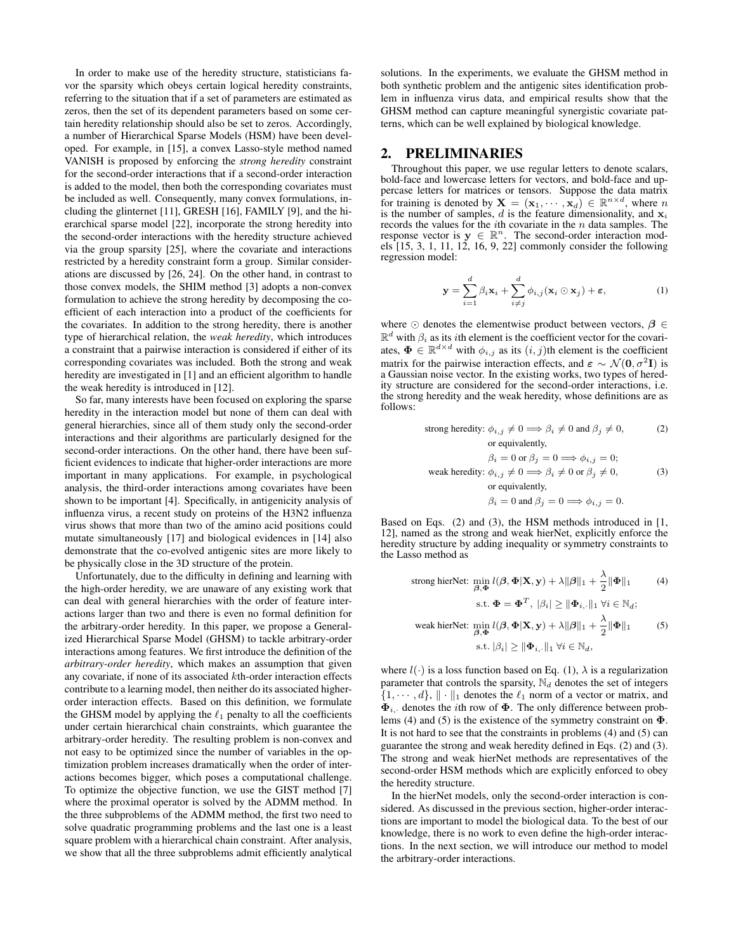In order to make use of the heredity structure, statisticians favor the sparsity which obeys certain logical heredity constraints, referring to the situation that if a set of parameters are estimated as zeros, then the set of its dependent parameters based on some certain heredity relationship should also be set to zeros. Accordingly, a number of Hierarchical Sparse Models (HSM) have been developed. For example, in [15], a convex Lasso-style method named VANISH is proposed by enforcing the *strong heredity* constraint for the second-order interactions that if a second-order interaction is added to the model, then both the corresponding covariates must be included as well. Consequently, many convex formulations, including the glinternet [11], GRESH [16], FAMILY [9], and the hierarchical sparse model [22], incorporate the strong heredity into the second-order interactions with the heredity structure achieved via the group sparsity [25], where the covariate and interactions restricted by a heredity constraint form a group. Similar considerations are discussed by [26, 24]. On the other hand, in contrast to those convex models, the SHIM method [3] adopts a non-convex formulation to achieve the strong heredity by decomposing the coefficient of each interaction into a product of the coefficients for the covariates. In addition to the strong heredity, there is another type of hierarchical relation, the *weak heredity*, which introduces a constraint that a pairwise interaction is considered if either of its corresponding covariates was included. Both the strong and weak heredity are investigated in [1] and an efficient algorithm to handle the weak heredity is introduced in [12].

So far, many interests have been focused on exploring the sparse heredity in the interaction model but none of them can deal with general hierarchies, since all of them study only the second-order interactions and their algorithms are particularly designed for the second-order interactions. On the other hand, there have been sufficient evidences to indicate that higher-order interactions are more important in many applications. For example, in psychological analysis, the third-order interactions among covariates have been shown to be important [4]. Specifically, in antigenicity analysis of influenza virus, a recent study on proteins of the H3N2 influenza virus shows that more than two of the amino acid positions could mutate simultaneously [17] and biological evidences in [14] also demonstrate that the co-evolved antigenic sites are more likely to be physically close in the 3D structure of the protein.

Unfortunately, due to the difficulty in defining and learning with the high-order heredity, we are unaware of any existing work that can deal with general hierarchies with the order of feature interactions larger than two and there is even no formal definition for the arbitrary-order heredity. In this paper, we propose a Generalized Hierarchical Sparse Model (GHSM) to tackle arbitrary-order interactions among features. We first introduce the definition of the *arbitrary-order heredity*, which makes an assumption that given any covariate, if none of its associated kth-order interaction effects contribute to a learning model, then neither do its associated higherorder interaction effects. Based on this definition, we formulate the GHSM model by applying the  $\ell_1$  penalty to all the coefficients under certain hierarchical chain constraints, which guarantee the arbitrary-order heredity. The resulting problem is non-convex and not easy to be optimized since the number of variables in the optimization problem increases dramatically when the order of interactions becomes bigger, which poses a computational challenge. To optimize the objective function, we use the GIST method [7] where the proximal operator is solved by the ADMM method. In the three subproblems of the ADMM method, the first two need to solve quadratic programming problems and the last one is a least square problem with a hierarchical chain constraint. After analysis, we show that all the three subproblems admit efficiently analytical

solutions. In the experiments, we evaluate the GHSM method in both synthetic problem and the antigenic sites identification problem in influenza virus data, and empirical results show that the GHSM method can capture meaningful synergistic covariate patterns, which can be well explained by biological knowledge.

#### 2. PRELIMINARIES

Throughout this paper, we use regular letters to denote scalars, bold-face and lowercase letters for vectors, and bold-face and uppercase letters for matrices or tensors. Suppose the data matrix for training is denoted by  $\mathbf{X} = (\mathbf{x}_1, \dots, \mathbf{x}_d) \in \mathbb{R}^{n \times d}$ , where n is the number of samples, d is the feature dimensionality, and  $x_i$ records the values for the *i*th covariate in the *n* data samples. The response vector is  $y \in \mathbb{R}^n$ . The second-order interaction models [15, 3, 1, 11, 12, 16, 9, 22] commonly consider the following regression model:

$$
\mathbf{y} = \sum_{i=1}^{d} \beta_i \mathbf{x}_i + \sum_{i \neq j}^{d} \phi_{i,j}(\mathbf{x}_i \odot \mathbf{x}_j) + \boldsymbol{\varepsilon},
$$
 (1)

where  $\odot$  denotes the elementwise product between vectors,  $\beta \in$  $\mathbb{R}^d$  with  $\beta_i$  as its *i*th element is the coefficient vector for the covariates,  $\mathbf{\Phi} \in \mathbb{R}^{d \times d}$  with  $\phi_{i,j}$  as its  $(i, j)$ th element is the coefficient matrix for the pairwise interaction effects, and  $\varepsilon \sim \mathcal{N}(0, \sigma^2 I)$  is a Gaussian noise vector. In the existing works, two types of heredity structure are considered for the second-order interactions, i.e. the strong heredity and the weak heredity, whose definitions are as follows:

strong heredity: 
$$
\phi_{i,j} \neq 0 \Longrightarrow \beta_i \neq 0
$$
 and  $\beta_j \neq 0$ ,  
or equivalently,

 $\beta_i = 0$  or  $\beta_j = 0 \Longrightarrow \phi_{i,j} = 0;$ weak heredity:  $\phi_{i,j} \neq 0 \implies \beta_i \neq 0$  or  $\beta_j \neq 0$ , (3) or equivalently,

 $\beta_i = 0$  and  $\beta_j = 0 \Longrightarrow \phi_{i,j} = 0$ .

Based on Eqs. (2) and (3), the HSM methods introduced in [1, 12], named as the strong and weak hierNet, explicitly enforce the heredity structure by adding inequality or symmetry constraints to the Lasso method as

strong hierNet: 
$$
\min_{\beta, \Phi} l(\beta, \Phi | \mathbf{X}, \mathbf{y}) + \lambda ||\beta||_1 + \frac{\lambda}{2} ||\Phi||_1
$$
 (4)  
s.t. 
$$
\Phi = \Phi^T, |\beta_i| \ge ||\Phi_{i, \cdot}||_1 \ \forall i \in \mathbb{N}_d;
$$
weak hierNet: 
$$
\min_{\beta, \Phi} l(\beta, \Phi | \mathbf{X}, \mathbf{y}) + \lambda ||\beta||_1 + \frac{\lambda}{2} ||\Phi||_1
$$
 (5)  
s.t.  $|\beta_i| \ge ||\Phi_{i, \cdot}||_1 \ \forall i \in \mathbb{N}_d$ ,

where  $l(\cdot)$  is a loss function based on Eq. (1),  $\lambda$  is a regularization parameter that controls the sparsity,  $\mathbb{N}_d$  denotes the set of integers  $\{1, \dots, d\}, \| \cdot \|_1$  denotes the  $\ell_1$  norm of a vector or matrix, and  $\Phi_i$ , denotes the *i*th row of  $\Phi$ . The only difference between problems (4) and (5) is the existence of the symmetry constraint on  $\Phi$ . It is not hard to see that the constraints in problems (4) and (5) can guarantee the strong and weak heredity defined in Eqs. (2) and (3). The strong and weak hierNet methods are representatives of the second-order HSM methods which are explicitly enforced to obey the heredity structure.

In the hierNet models, only the second-order interaction is considered. As discussed in the previous section, higher-order interactions are important to model the biological data. To the best of our knowledge, there is no work to even define the high-order interactions. In the next section, we will introduce our method to model the arbitrary-order interactions.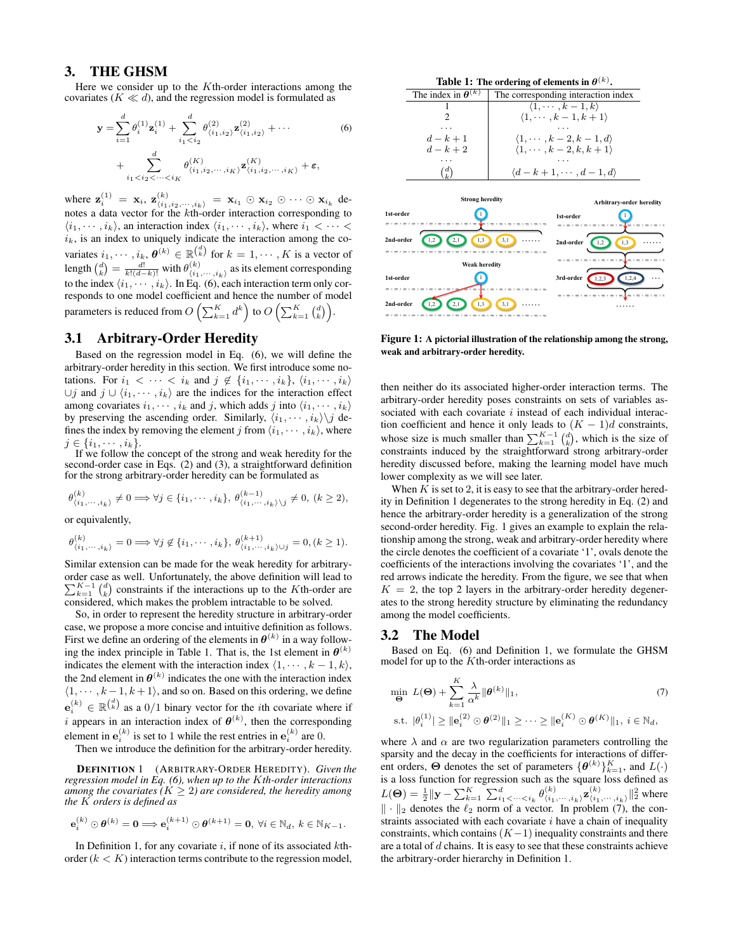## 3. THE GHSM

Here we consider up to the  $K$ th-order interactions among the covariates ( $K \ll d$ ), and the regression model is formulated as

$$
\mathbf{y} = \sum_{i=1}^{d} \theta_i^{(1)} \mathbf{z}_i^{(1)} + \sum_{i_1 < i_2}^{d} \theta_{\langle i_1, i_2 \rangle}^{(2)} \mathbf{z}_{\langle i_1, i_2 \rangle}^{(2)} + \cdots
$$
\n
$$
+ \sum_{i_1 < i_2 < \cdots < i_K}^{d} \theta_{\langle i_1, i_2, \cdots, i_K \rangle}^{(K)} \mathbf{z}_{\langle i_1, i_2, \cdots, i_K \rangle}^{(K)} + \varepsilon,
$$
\n(6)

where  $\mathbf{z}_i^{(1)} = \mathbf{x}_i$ ,  $\mathbf{z}_{\langle i_1, i_2, \dots, i_k \rangle}^{(k)} = \mathbf{x}_{i_1} \odot \mathbf{x}_{i_2} \odot \dots \odot \mathbf{x}_{i_k}$  denotes a data vector for the kth-order interaction corresponding to  $\langle i_1, \cdots, i_k \rangle$ , an interaction index  $\langle i_1, \cdots, i_k \rangle$ , where  $i_1 < \cdots <$  $i_k$ , is an index to uniquely indicate the interaction among the covariates  $i_1, \dots, i_k, \theta^{(k)} \in \mathbb{R}^{\binom{d}{k}}$  for  $k = 1, \dots, K$  is a vector of length  $\binom{d}{k} = \frac{d!}{k!(d-k)!}$  with  $\theta^{(k)}_{\langle i_1,\dots,i_k\rangle}$  as its element corresponding to the index  $\langle i_1, \cdots, i_k \rangle$ . In Eq. (6), each interaction term only corresponds to one model coefficient and hence the number of model parameters is reduced from  $O\left(\sum_{k=1}^K d^k\right)$  to  $O\left(\sum_{k=1}^K {d \choose k}\right)$ .

## 3.1 Arbitrary-Order Heredity

Based on the regression model in Eq. (6), we will define the arbitrary-order heredity in this section. We first introduce some notations. For  $i_1 < \cdots < i_k$  and  $j \notin \{i_1, \cdots, i_k\}, \langle i_1, \cdots, i_k \rangle$ ∪j and  $j$  ∪  $\langle i_1, \cdots, i_k \rangle$  are the indices for the interaction effect among covariates  $i_1, \dots, i_k$  and j, which adds j into  $\langle i_1, \dots, i_k \rangle$ by preserving the ascending order. Similarly,  $\langle i_1, \dots, i_k \rangle$  defines the index by removing the element j from  $\langle i_1, \dots, i_k \rangle$ , where  $j \in \{i_1, \cdots, i_k\}.$ 

If we follow the concept of the strong and weak heredity for the second-order case in Eqs. (2) and (3), a straightforward definition for the strong arbitrary-order heredity can be formulated as

$$
\theta^{(k)}_{\langle i_1,\dots,i_k\rangle} \neq 0 \Longrightarrow \forall j \in \{i_1,\dots,i_k\}, \ \theta^{(k-1)}_{\langle i_1,\dots,i_k\rangle \setminus j} \neq 0, \ (k \geq 2),
$$

or equivalently,

$$
\theta_{\langle i_1,\dots,i_k\rangle}^{(k)}=0\Longrightarrow \forall j\not\in \{i_1,\dots,i_k\},\ \theta_{\langle i_1,\dots,i_k\rangle\cup j}^{(k+1)}=0,(k\geq 1).
$$

Similar extension can be made for the weak heredity for arbitraryorder case as well. Unfortunately, the above definition will lead to  $\sum_{k=1}^{K-1} {d \choose k}$  constraints if the interactions up to the Kth-order are considered, which makes the problem intractable to be solved.

So, in order to represent the heredity structure in arbitrary-order case, we propose a more concise and intuitive definition as follows. First we define an ordering of the elements in  $\boldsymbol{\theta}^{(k)}$  in a way following the index principle in Table 1. That is, the 1st element in  $\theta^{(k)}$ indicates the element with the interaction index  $\langle 1, \cdots, k - 1, k \rangle$ , the 2nd element in  $\boldsymbol{\theta}^{(k)}$  indicates the one with the interaction index  $\langle 1, \dots, k-1, k+1 \rangle$ , and so on. Based on this ordering, we define  $e_i^{(k)} \in \mathbb{R}^{\binom{d}{k}}$  as a  $0/1$  binary vector for the *i*th covariate where if i appears in an interaction index of  $\boldsymbol{\theta}^{(k)}$ , then the corresponding element in  $e_i^{(k)}$  is set to 1 while the rest entries in  $e_i^{(k)}$  are 0.

Then we introduce the definition for the arbitrary-order heredity.

DEFINITION 1 (ARBITRARY-ORDER HEREDITY). *Given the regression model in Eq. (6), when up to the* K*th-order interactions among the covariates*  $(K \geq 2)$  *are considered, the heredity among the* K *orders is defined as*

$$
\mathbf{e}_i^{(k)} \odot \boldsymbol{\theta}^{(k)} = \mathbf{0} \Longrightarrow \mathbf{e}_i^{(k+1)} \odot \boldsymbol{\theta}^{(k+1)} = \mathbf{0}, \ \forall i \in \mathbb{N}_d, \ k \in \mathbb{N}_{K-1}.
$$

In Definition 1, for any covariate  $i$ , if none of its associated  $k$ thorder  $(k < K)$  interaction terms contribute to the regression model,



Figure 1: A pictorial illustration of the relationship among the strong, weak and arbitrary-order heredity.

then neither do its associated higher-order interaction terms. The arbitrary-order heredity poses constraints on sets of variables associated with each covariate  $i$  instead of each individual interaction coefficient and hence it only leads to  $(K - 1)d$  constraints, whose size is much smaller than  $\sum_{k=1}^{K-1} {d \choose k}$ , which is the size of constraints induced by the straightforward strong arbitrary-order heredity discussed before, making the learning model have much lower complexity as we will see later.

When  $K$  is set to 2, it is easy to see that the arbitrary-order heredity in Definition 1 degenerates to the strong heredity in Eq. (2) and hence the arbitrary-order heredity is a generalization of the strong second-order heredity. Fig. 1 gives an example to explain the relationship among the strong, weak and arbitrary-order heredity where the circle denotes the coefficient of a covariate '1', ovals denote the coefficients of the interactions involving the covariates '1', and the red arrows indicate the heredity. From the figure, we see that when  $K = 2$ , the top 2 layers in the arbitrary-order heredity degenerates to the strong heredity structure by eliminating the redundancy among the model coefficients.

## 3.2 The Model

Based on Eq. (6) and Definition 1, we formulate the GHSM model for up to the  $K$ th-order interactions as

$$
\begin{aligned}\n\min_{\Theta} \ L(\Theta) + \sum_{k=1}^{K} \frac{\lambda}{\alpha^k} \|\theta^{(k)}\|_1, & (7) \\
\text{s.t. } |\theta_i^{(1)}| \geq \|e_i^{(2)} \odot \theta^{(2)}\|_1 \geq \cdots \geq \|e_i^{(K)} \odot \theta^{(K)}\|_1, & i \in \mathbb{N}_d,\n\end{aligned}
$$

where  $\lambda$  and  $\alpha$  are two regularization parameters controlling the sparsity and the decay in the coefficients for interactions of different orders,  $\Theta$  denotes the set of parameters  $\{\boldsymbol{\theta}^{(k)}\}_{k=1}^K$ , and  $L(\cdot)$ is a loss function for regression such as the square loss defined as  $L(\Theta) = \frac{1}{2} ||\mathbf{y} - \sum_{k=1}^{K} \sum_{i_1 < \cdots < i_k}^{d} \theta_{\langle i_1, \cdots, i_k \rangle}^{(k)} \mathbf{z}_{\langle i_1, \cdots, i_k \rangle}^{(k)} ||_2^2$  where  $\|\cdot\|_2$  denotes the  $\ell_2$  norm of a vector. In problem (7), the constraints associated with each covariate  $i$  have a chain of inequality constraints, which contains  $(K-1)$  inequality constraints and there are a total of d chains. It is easy to see that these constraints achieve the arbitrary-order hierarchy in Definition 1.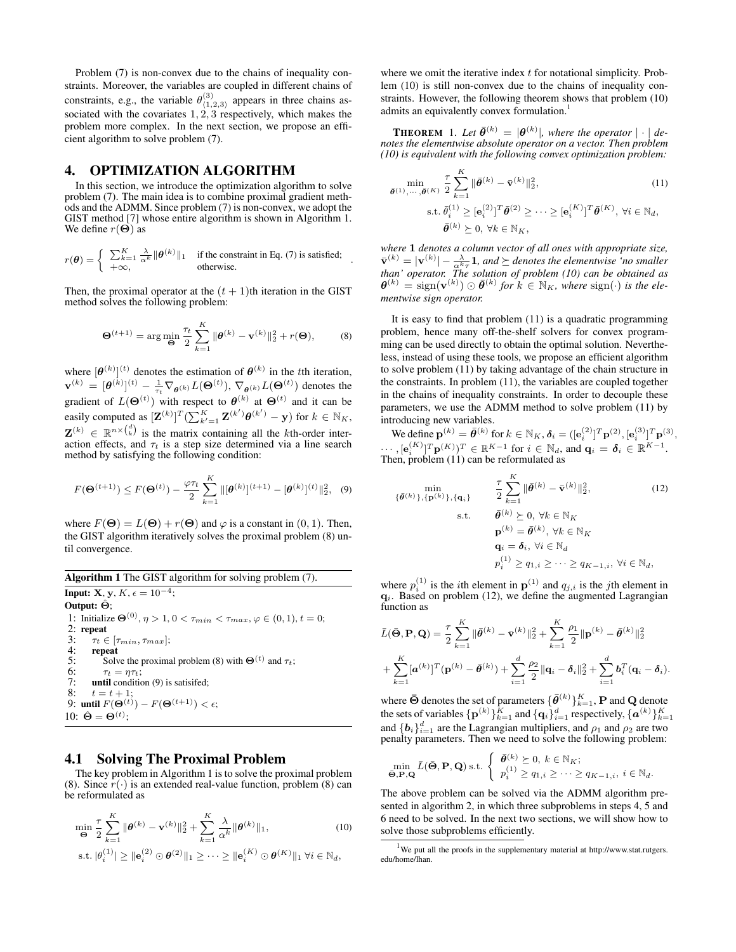Problem (7) is non-convex due to the chains of inequality constraints. Moreover, the variables are coupled in different chains of constraints, e.g., the variable  $\theta_{(1,2,3)}^{(3)}$  appears in three chains associated with the covariates 1, 2, 3 respectively, which makes the problem more complex. In the next section, we propose an efficient algorithm to solve problem (7).

## 4. OPTIMIZATION ALGORITHM

In this section, we introduce the optimization algorithm to solve problem (7). The main idea is to combine proximal gradient methods and the ADMM. Since problem (7) is non-convex, we adopt the GIST method [7] whose entire algorithm is shown in Algorithm 1. We define  $r(\Theta)$  as

$$
r(\theta) = \begin{cases} \sum_{k=1}^{K} \frac{\lambda}{\alpha^{k}} \|\theta^{(k)}\|_1 & \text{if the constraint in Eq. (7) is satisfied;} \\ +\infty, & \text{otherwise.} \end{cases}
$$

Then, the proximal operator at the  $(t + 1)$ th iteration in the GIST method solves the following problem:

$$
\Theta^{(t+1)} = \arg\min_{\Theta} \frac{\tau_t}{2} \sum_{k=1}^{K} \|\theta^{(k)} - \mathbf{v}^{(k)}\|_2^2 + r(\Theta),\tag{8}
$$

.

where  $[\theta^{(k)}]^{(t)}$  denotes the estimation of  $\theta^{(k)}$  in the tth iteration,  $\mathbf{v}^{(k)} = [\boldsymbol{\theta}^{(k)}]^{(t)} - \frac{1}{\tau_t} \nabla_{\boldsymbol{\theta}^{(k)}} L(\boldsymbol{\Theta}^{(t)}), \nabla_{\boldsymbol{\theta}^{(k)}} L(\boldsymbol{\Theta}^{(t)})$  denotes the gradient of  $L(\Theta^{(t)})$  with respect to  $\theta^{(k)}$  at  $\Theta^{(t)}$  and it can be easily computed as  $[\mathbf{Z}^{(k)}]^T (\sum_{k'=1}^K \mathbf{Z}^{(k')} \boldsymbol{\theta}^{(k')} - \mathbf{y})$  for  $k \in \mathbb{N}_K$ ,  $\mathbf{Z}^{(k)} \in \mathbb{R}^{n \times {d \choose k}}$  is the matrix containing all the *k*th-order interaction effects, and  $\tau_t$  is a step size determined via a line search method by satisfying the following condition:

$$
F(\mathbf{\Theta}^{(t+1)}) \le F(\mathbf{\Theta}^{(t)}) - \frac{\varphi \tau_t}{2} \sum_{k=1}^{K} \|[\boldsymbol{\theta}^{(k)}]^{(t+1)} - [\boldsymbol{\theta}^{(k)}]^{(t)}\|_2^2, \quad (9)
$$

where  $F(\Theta) = L(\Theta) + r(\Theta)$  and  $\varphi$  is a constant in (0, 1). Then, the GIST algorithm iteratively solves the proximal problem (8) until convergence.

Algorithm 1 The GIST algorithm for solving problem (7).

**Input: X**, **y**,  $K$ ,  $\epsilon = 10^{-4}$ ; Output: Θ; 1: Initialize  $\Theta^{(0)}$ ,  $\eta > 1$ ,  $0 < \tau_{min} < \tau_{max}$ ,  $\varphi \in (0, 1)$ ,  $t = 0$ ; 2: repeat<br>3:  $\tau_t \in$ 3:  $\tau_t \in [\tau_{min}, \tau_{max}];$ <br>4: **repeat** 4: repeat<br>5: Solv 5: Solve the proximal problem (8) with  $\Theta^{(t)}$  and  $\tau_t$ ; 6:  $\tau_t = \eta \tau_t$ ;<br>7: **until** condition until condition  $(9)$  is satisifed; 8:  $t = t + 1;$ 9: until  $F(\Theta^{(t)}) - F(\Theta^{(t+1)}) < \epsilon$ ; 10:  $\hat{\Theta} = \Theta^{(t)}$ ;

## 4.1 Solving The Proximal Problem

The key problem in Algorithm 1 is to solve the proximal problem (8). Since  $r(\cdot)$  is an extended real-value function, problem (8) can be reformulated as

$$
\min_{\Theta} \frac{\tau}{2} \sum_{k=1}^{K} \|\theta^{(k)} - \mathbf{v}^{(k)}\|_{2}^{2} + \sum_{k=1}^{K} \frac{\lambda}{\alpha^{k}} \|\theta^{(k)}\|_{1},
$$
\n(10)

$$
\text{s.t. } |\theta_i^{(1)}| \geq ||\mathbf{e}_i^{(2)} \odot \boldsymbol{\theta}^{(2)}||_1 \geq \cdots \geq ||\mathbf{e}_i^{(K)} \odot \boldsymbol{\theta}^{(K)}||_1 \ \forall i \in \mathbb{N}_d,
$$

where we omit the iterative index  $t$  for notational simplicity. Problem (10) is still non-convex due to the chains of inequality constraints. However, the following theorem shows that problem (10) admits an equivalently convex formulation.<sup>1</sup>

**THEOREM** 1. Let  $\bar{\theta}^{(k)} = |\theta^{(k)}|$ , where the operator  $|\cdot|$  de*notes the elementwise absolute operator on a vector. Then problem (10) is equivalent with the following convex optimization problem:*

$$
\min_{\bar{\theta}^{(1)}, \dots, \bar{\theta}^{(K)}} \frac{\tau}{2} \sum_{k=1}^{K} \|\bar{\theta}^{(k)} - \bar{\mathbf{v}}^{(k)}\|_{2}^{2},
$$
\n
$$
\text{s.t. } \bar{\theta}_{i}^{(1)} \geq [\mathbf{e}_{i}^{(2)}]^T \bar{\theta}^{(2)} \geq \dots \geq [\mathbf{e}_{i}^{(K)}]^T \bar{\theta}^{(K)}, \forall i \in \mathbb{N}_d,
$$
\n
$$
\bar{\theta}^{(k)} \geq 0, \forall k \in \mathbb{N}_K,
$$
\n(11)

*where* 1 *denotes a column vector of all ones with appropriate size,*  $\bar{\mathbf{v}}^{(k)} = |\mathbf{v}^{(k)}| - \frac{\lambda}{\alpha^k \tau} \mathbf{1}$ , and  $\succeq$  denotes the elementwise 'no smaller *than' operator. The solution of problem (10) can be obtained as*  $\boldsymbol{\theta}^{(k)} = \text{sign}(\mathbf{v}^{(k)}) \odot \boldsymbol{\bar{\theta}}^{(k)}$  for  $k \in \mathbb{N}_K$ , where  $\text{sign}(\cdot)$  is the ele*mentwise sign operator.*

It is easy to find that problem (11) is a quadratic programming problem, hence many off-the-shelf solvers for convex programming can be used directly to obtain the optimal solution. Nevertheless, instead of using these tools, we propose an efficient algorithm to solve problem (11) by taking advantage of the chain structure in the constraints. In problem (11), the variables are coupled together in the chains of inequality constraints. In order to decouple these parameters, we use the ADMM method to solve problem (11) by introducing new variables.

We define  $\mathbf{p}^{(k)} = \bar{\theta}^{(k)}$  for  $k \in \mathbb{N}_K$ ,  $\delta_i = ([\mathbf{e}_i^{(2)}]^T \mathbf{p}^{(2)}, [\mathbf{e}_i^{(3)}]^T \mathbf{p}^{(3)},$  $\cdots$ ,  $[e_i^{(K)}]^T \mathbf{p}^{(K)}$ ) $T \in \mathbb{R}^{K-1}$  for  $i \in \mathbb{N}_d$ , and  $\mathbf{q}_i = \boldsymbol{\delta}_i \in \mathbb{R}^{K-1}$ . Then, problem (11) can be reformulated as

$$
\begin{aligned}\n\min_{\{\bar{\boldsymbol{\theta}}^{(k)}\},\{\mathbf{p}^{(k)}\},\{\mathbf{q}_i\}} & \frac{\tau}{2} \sum_{k=1}^K \|\bar{\boldsymbol{\theta}}^{(k)} - \bar{\mathbf{v}}^{(k)}\|_2^2, & \text{(12)} \\
\text{s.t.} & \bar{\boldsymbol{\theta}}^{(k)} \ge 0, \forall k \in \mathbb{N}_K \\
\mathbf{p}^{(k)} = \bar{\boldsymbol{\theta}}^{(k)}, \forall k \in \mathbb{N}_K \\
\mathbf{q}_i = \delta_i, \forall i \in \mathbb{N}_d \\
p_i^{(1)} \ge q_{1,i} \ge \cdots \ge q_{K-1,i}, \forall i \in \mathbb{N}_d,\n\end{aligned}
$$

where  $p_i^{(1)}$  is the *i*th element in  $p_i^{(1)}$  and  $q_{j,i}$  is the *j*th element in  $q_i$ . Based on problem (12), we define the augmented Lagrangian function as

$$
\bar{L}(\bar{\Theta}, \mathbf{P}, \mathbf{Q}) = \frac{\tau}{2} \sum_{k=1}^{K} \|\bar{\theta}^{(k)} - \bar{\mathbf{v}}^{(k)}\|_{2}^{2} + \sum_{k=1}^{K} \frac{\rho_{1}}{2} \|\mathbf{p}^{(k)} - \bar{\theta}^{(k)}\|_{2}^{2} + \sum_{k=1}^{K} [\mathbf{a}^{(k)}]^T (\mathbf{p}^{(k)} - \bar{\theta}^{(k)}) + \sum_{i=1}^{d} \frac{\rho_{2}}{2} \|\mathbf{q}_{i} - \delta_{i}\|_{2}^{2} + \sum_{i=1}^{d} \mathbf{b}_{i}^T (\mathbf{q}_{i} - \delta_{i}).
$$

where  $\bar{\Theta}$  denotes the set of parameters  $\{\bar{\theta}^{(k)}\}_{k=1}^K$ ,  ${\bf P}$  and  ${\bf Q}$  denote the sets of variables  $\{ {\bf p}^{(k)} \}_{k=1}^K$  and  $\{ {\bf q}_i \}_{i=1}^d$  respectively,  $\{ {\bm a}^{(k)} \}_{k=1}^K$ and  $\{b_i\}_{i=1}^d$  are the Lagrangian multipliers, and  $\rho_1$  and  $\rho_2$  are two penalty parameters. Then we need to solve the following problem:

$$
\min_{\bar{\boldsymbol{\Theta}}, \mathbf{P}, \mathbf{Q}} \bar{L}(\bar{\boldsymbol{\Theta}}, \mathbf{P}, \mathbf{Q}) \text{ s.t. } \begin{cases} \bar{\boldsymbol{\theta}}^{(k)} \geq 0, \ k \in \mathbb{N}_K; \\ p_i^{(1)} \geq q_{1,i} \geq \cdots \geq q_{K-1,i}, \ i \in \mathbb{N}_d. \end{cases}
$$

The above problem can be solved via the ADMM algorithm presented in algorithm 2, in which three subproblems in steps 4, 5 and 6 need to be solved. In the next two sections, we will show how to solve those subproblems efficiently.

<sup>&</sup>lt;sup>1</sup>We put all the proofs in the supplementary material at http://www.stat.rutgers. edu/home/lhan.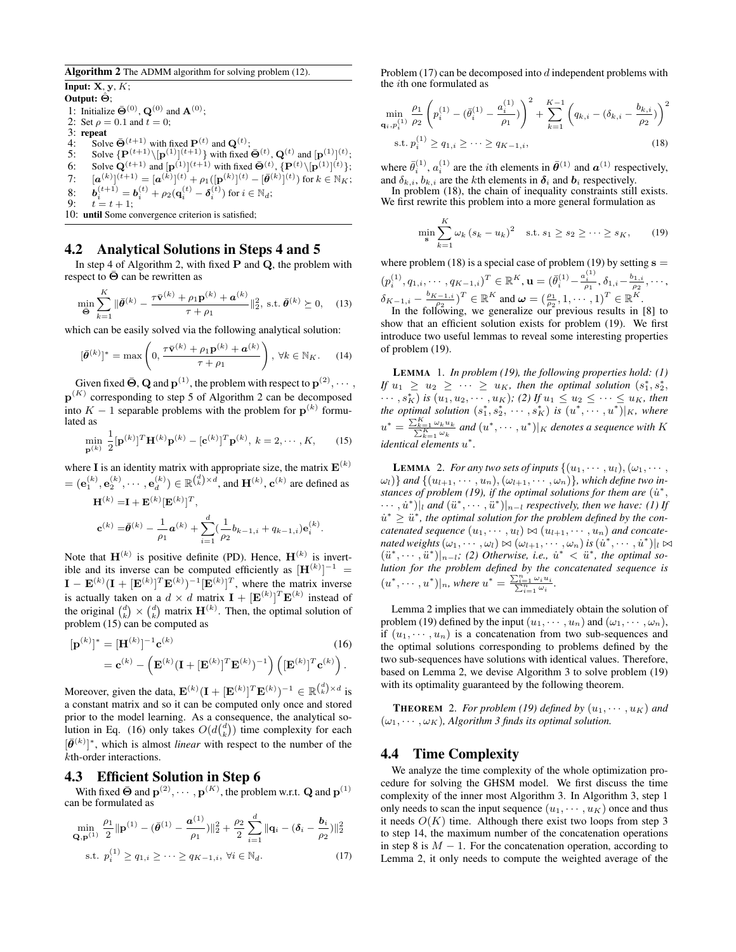#### Algorithm 2 The ADMM algorithm for solving problem (12).

Input:  $X, y, K$ ; Output: Θ; 1: Initialize  $\bar{\mathbf{\Theta}}^{(0)}$ ,  $\mathbf{Q}^{(0)}$  and  $\mathbf{A}^{(0)}$ ; 2: Set  $\rho = 0.1$  and  $t = 0$ ; 3: repeat<br>4: Solv 4: Solve  $\bar{\mathbf{\Theta}}^{(t+1)}$  with fixed  $\mathbf{P}^{(t)}$  and  $\mathbf{Q}^{(t)}$ ; 5: Solve  $\{ {\bf P}^{(t+1)} \setminus [{\bf p}^{(1)}]^{(t+1)} \}$  with fixed  $\bar{\bf \Theta}^{(t)}$ ,  ${\bf Q}^{(t)}$  and  $[{\bf p}^{(1)}]^{(t)}$ ; 6: Solve  $\mathbf{Q}^{(t+1)}$  and  $[\mathbf{p}^{(1)}]^{(t+1)}$  with fixed  $\bar{\mathbf{\Theta}}^{(t)}$ ,  $\{\mathbf{P}^{(t)}\backslash[\mathbf{p}^{(1)}]^{(t)}\};$ 7:  $[\boldsymbol{a}^{(k)}]^{(t+1)} = [\boldsymbol{a}^{(k)}]^{(t)} + \rho_1([\mathbf{p}^{(k)}]^{(t)} - [\bar{\boldsymbol{\theta}}^{(k)}]^{(t)})$  for  $k \in \mathbb{N}_K$ ;  $\mathbf{8:} \quad \mathbf{b}_{i}^{(t+1)} = \mathbf{b}_{i}^{(t)} + \rho_{2}(\mathbf{q}_{i}^{(t)} - \boldsymbol{\delta}_{i}^{(t)})$  for  $i \in \mathbb{N}_d$ ; 9:  $t = t + 1;$ 10: **until** Some convergence criterion is satisfied;

#### 4.2 Analytical Solutions in Steps 4 and 5

In step 4 of Algorithm 2, with fixed P and Q, the problem with respect to  $\bar{\Theta}$  can be rewritten as

$$
\min_{\bar{\boldsymbol{\Theta}}} \sum_{k=1}^{K} \|\bar{\boldsymbol{\theta}}^{(k)} - \frac{\tau \bar{\mathbf{v}}^{(k)} + \rho_1 \mathbf{p}^{(k)} + \boldsymbol{a}^{(k)}}{\tau + \rho_1} \|^2_2, \text{ s.t. } \bar{\boldsymbol{\theta}}^{(k)} \succeq 0,
$$
 (13)

which can be easily solved via the following analytical solution:

$$
[\bar{\boldsymbol{\theta}}^{(k)}]^* = \max\left(0, \frac{\tau \bar{\mathbf{v}}^{(k)} + \rho_1 \mathbf{p}^{(k)} + \mathbf{a}^{(k)}}{\tau + \rho_1}\right), \ \forall k \in \mathbb{N}_K. \tag{14}
$$

Given fixed  $\bar{\Theta}$ , Q and  $\mathbf{p}^{(1)}$ , the problem with respect to  $\mathbf{p}^{(2)}, \cdots$ ,  $\mathbf{p}^{(K)}$  corresponding to step 5 of Algorithm 2 can be decomposed into  $K - 1$  separable problems with the problem for  $p^{(k)}$  formulated as

$$
\min_{\mathbf{p}^{(k)}} \frac{1}{2} [\mathbf{p}^{(k)}]^T \mathbf{H}^{(k)} \mathbf{p}^{(k)} - [\mathbf{c}^{(k)}]^T \mathbf{p}^{(k)}, k = 2, \cdots, K,
$$
 (15)

where **I** is an identity matrix with appropriate size, the matrix  $\mathbf{E}^{(k)}$  $=(\mathbf{e}_1^{(k)},\mathbf{e}_2^{(k)},\cdots,\mathbf{e}_d^{(k)})\in\mathbb{R}^{\binom{d}{k}\times d}$ , and  $\mathbf{H}^{(k)},\mathbf{c}^{(k)}$  are defined as  $\mathbf{H}^{(k)} = \mathbf{I} + \mathbf{E}^{(k)}[\mathbf{E}^{(k)}]^T,$  $\mathbf{c}^{(k)}=\bar{\boldsymbol{\theta}}^{(k)}-\frac{1}{\tau}$  $\frac{1}{\rho_1} a^{(k)} + \sum_{i=1}^d$  $\begin{pmatrix} 1 \\ -1 \end{pmatrix}$  $\frac{1}{\rho_2}b_{k-1,i}+q_{k-1,i})\mathbf{e}_i^{(k)}.$ 

 $i=1$ 

Note that  $\mathbf{H}^{(k)}$  is positive definite (PD). Hence,  $\mathbf{H}^{(k)}$  is invertible and its inverse can be computed efficiently as  $[\mathbf{H}^{(k)}]^{-1}$  =  $\mathbf{I} - \mathbf{E}^{(k)}(\mathbf{I} + [\mathbf{E}^{(k)}]^T \mathbf{E}^{(k)})^{-1} [\mathbf{E}^{(k)}]^T$ , where the matrix inverse is actually taken on a  $d \times d$  matrix  $\mathbf{I} + [\mathbf{E}^{(k)}]^T \mathbf{E}^{(k)}$  instead of the original  $\binom{d}{k} \times \binom{d}{k}$  matrix  $\mathbf{H}^{(k)}$ . Then, the optimal solution of problem (15) can be computed as

$$
[\mathbf{p}^{(k)}]^* = [\mathbf{H}^{(k)}]^{-1} \mathbf{c}^{(k)}
$$
  
=  $\mathbf{c}^{(k)} - (\mathbf{E}^{(k)} (\mathbf{I} + [\mathbf{E}^{(k)}]^T \mathbf{E}^{(k)})^{-1}) (\mathbf{E}^{(k)}]^T \mathbf{c}^{(k)}).$  (16)

Moreover, given the data,  $\mathbf{E}^{(k)}(\mathbf{I} + [\mathbf{E}^{(k)}]^T \mathbf{E}^{(k)})^{-1} \in \mathbb{R}^{\binom{d}{k} \times d}$  is a constant matrix and so it can be computed only once and stored prior to the model learning. As a consequence, the analytical solution in Eq. (16) only takes  $O(d_k^{\binom{d}{k}})$  time complexity for each  $[\bar{\theta}^{(k)}]^{*}$ , which is almost *linear* with respect to the number of the kth-order interactions.

#### 4.3 Efficient Solution in Step 6

With fixed  $\bar{\mathbf{\Theta}}$  and  $\mathbf{p}^{(2)}, \cdots, \mathbf{p}^{(K)}$ , the problem w.r.t. **Q** and  $\mathbf{p}^{(1)}$ can be formulated as

$$
\min_{\mathbf{Q}, \mathbf{p}^{(1)}} \frac{\rho_1}{2} \|\mathbf{p}^{(1)} - (\bar{\boldsymbol{\theta}}^{(1)} - \frac{\mathbf{a}^{(1)}}{\rho_1})\|_2^2 + \frac{\rho_2}{2} \sum_{i=1}^d \|\mathbf{q}_i - (\boldsymbol{\delta}_i - \frac{\mathbf{b}_i}{\rho_2})\|_2^2
$$
\n
$$
\text{s.t. } p_i^{(1)} \ge q_{1,i} \ge \dots \ge q_{K-1,i}, \ \forall i \in \mathbb{N}_d. \tag{17}
$$

Problem  $(17)$  can be decomposed into d independent problems with the ith one formulated as

$$
\min_{\mathbf{q}_i, p_i^{(1)}} \frac{\rho_1}{\rho_2} \left( p_i^{(1)} - (\bar{\theta}_i^{(1)} - \frac{a_i^{(1)}}{\rho_1}) \right)^2 + \sum_{k=1}^{K-1} \left( q_{k,i} - (\delta_{k,i} - \frac{b_{k,i}}{\rho_2}) \right)^2
$$
\n
$$
\text{s.t. } p_i^{(1)} \ge q_{1,i} \ge \dots \ge q_{K-1,i},\tag{18}
$$

where  $\bar{\theta}_i^{(1)}$ ,  $a_i^{(1)}$  are the *i*th elements in  $\bar{\theta}^{(1)}$  and  $\alpha^{(1)}$  respectively, and  $\delta_{k,i}$ ,  $b_{k,i}$  are the kth elements in  $\delta_i$  and  $b_i$  respectively.

In problem (18), the chain of inequality constraints still exists. We first rewrite this problem into a more general formulation as

$$
\min_{\mathbf{s}} \sum_{k=1}^{K} \omega_k (s_k - u_k)^2 \quad \text{s.t. } s_1 \ge s_2 \ge \dots \ge s_K, \tag{19}
$$

where problem (18) is a special case of problem (19) by setting  $s =$  $(p_i^{(1)}, q_{1,i}, \cdots, q_{K-1,i})^T \in \mathbb{R}^K, \mathbf{u} = (\bar{\theta}_i^{(1)} - \frac{a_i^{(1)}}{\rho_1}, \delta_{1,i} - \frac{b_{1,i}}{\rho_2}, \cdots,$  $\delta_{K-1,i} - \frac{b_{K-1,i}}{\rho^2}$   $T \in \mathbb{R}^K$  and  $\boldsymbol{\omega} = (\frac{\rho_1}{\rho_2}, 1, \cdots, 1)^T \in \mathbb{R}^K$ .

In the following, we generalize our previous results in [8] to show that an efficient solution exists for problem (19). We first introduce two useful lemmas to reveal some interesting properties of problem (19).

LEMMA 1. *In problem (19), the following properties hold: (1) If*  $u_1 \geq u_2 \geq \cdots \geq u_K$ , then the optimal solution  $(s_1^*, s_2^*,$  $\cdots, s_K^*$  *is*  $(u_1, u_2, \cdots, u_K)$ ; (2) If  $u_1 \leq u_2 \leq \cdots \leq u_K$ , then *the optimal solution*  $(s_1^*, s_2^*, \cdots, s_K^*)$  *is*  $(u^*, \cdots, u^*)|_K$ *, where*  $u^* = \frac{\sum_{k=1}^K \omega_k u_k}{\sum_{k=1}^K \omega_k}$  and  $(u^*, \cdots, u^*)|_K$  denotes a sequence with  $K$ *identical elements* u ∗ *.*

**LEMMA** 2. *For any two sets of inputs*  $\{(u_1, \dots, u_l), (\omega_1, \dots, \omega_l)\}$  $\{\omega_l\}$  and  $\{(u_{l+1}, \dots, u_n), (\omega_{l+1}, \dots, \omega_n)\}$ , which define two instances of problem (19), if the optimal solutions for them are  $(u^*,$  $\cdots$ ,  $\dot{u}^*$ )|<sub>l</sub> and  $(\ddot{u}^*, \cdots, \ddot{u}^*)$ |<sub>n−l</sub> respectively, then we have: (1) If  $\dot{u}^* \geq \ddot{u}^*$ , the optimal solution for the problem defined by the con*catenated sequence*  $(u_1, \dots, u_l) \bowtie (u_{l+1}, \dots, u_n)$  *and concatenated weights*  $(\omega_1, \dots, \omega_l) \bowtie (\omega_{l+1}, \dots, \omega_n)$  *is*  $(\dot{u}^*, \dots, \dot{u}^*)|_l \bowtie$  $(i^*, \cdots, u^*)|_{n-l}$ ; (2) Otherwise, i.e.,  $u^* < u^*$ , the optimal so*lution for the problem defined by the concatenated sequence is*  $(u^*, \dots, u^*)|_n$ , where  $u^* = \frac{\sum_{i=1}^n \omega_i u_i}{\sum_{i=1}^n \omega_i}.$ 

Lemma 2 implies that we can immediately obtain the solution of problem (19) defined by the input  $(u_1, \dots, u_n)$  and  $(\omega_1, \dots, \omega_n)$ , if  $(u_1, \dots, u_n)$  is a concatenation from two sub-sequences and the optimal solutions corresponding to problems defined by the two sub-sequences have solutions with identical values. Therefore, based on Lemma 2, we devise Algorithm 3 to solve problem (19) with its optimality guaranteed by the following theorem.

**THEOREM** 2. *For problem* (19) defined by  $(u_1, \dots, u_K)$  and  $(\omega_1, \dots, \omega_K)$ , Algorithm 3 finds its optimal solution.

#### 4.4 Time Complexity

We analyze the time complexity of the whole optimization procedure for solving the GHSM model. We first discuss the time complexity of the inner most Algorithm 3. In Algorithm 3, step 1 only needs to scan the input sequence  $(u_1, \dots, u_K)$  once and thus it needs  $O(K)$  time. Although there exist two loops from step 3 to step 14, the maximum number of the concatenation operations in step 8 is  $M - 1$ . For the concatenation operation, according to Lemma 2, it only needs to compute the weighted average of the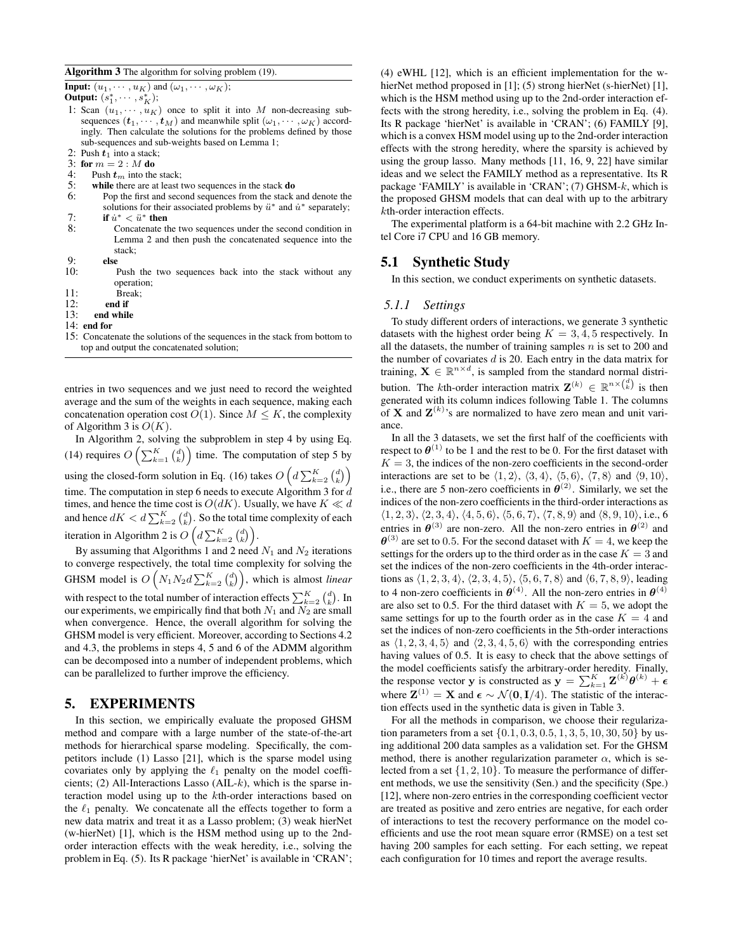#### Algorithm 3 The algorithm for solving problem (19).

**Input:**  $(u_1, \dots, u_K)$  and  $(\omega_1, \dots, \omega_K)$ ;

Output:  $(s_1^*, \cdots, s_K^*)$ ;

- 1: Scan  $(u_1, \dots, u_K)$  once to split it into M non-decreasing subsequences  $(t_1, \dots, t_M)$  and meanwhile split  $(\omega_1, \dots, \omega_K)$  accordingly. Then calculate the solutions for the problems defined by those sub-sequences and sub-weights based on Lemma 1;
- 2: Push  $t_1$  into a stack;
- 3: for  $m = 2 : M$  do<br>4: Push  $t_m$  into the
- 4: Push  $t_m$  into the stack;<br>5: while there are at least t
- 5: while there are at least two sequences in the stack do<br>6: Pop the first and second sequences from the stack
- Pop the first and second sequences from the stack and denote the solutions for their associated problems by  $\ddot{u}^*$  and  $\dot{u}^*$  separately;
- 7: if  $\dot{u}^* < \ddot{u}^*$  then
- 8: Concatenate the two sequences under the second condition in Lemma 2 and then push the concatenated sequence into the stack;
- 9: **else**<br>10: 1
- Push the two sequences back into the stack without any operation;
- 11: Break;<br>12: **end if**
- 12: end if<br>13: end while
- end while
- 14: end for
- 15: Concatenate the solutions of the sequences in the stack from bottom to top and output the concatenated solution;

entries in two sequences and we just need to record the weighted average and the sum of the weights in each sequence, making each concatenation operation cost  $O(1)$ . Since  $M \leq K$ , the complexity of Algorithm 3 is  $O(K)$ .

In Algorithm 2, solving the subproblem in step 4 by using Eq. (14) requires  $O\left(\sum_{k=1}^K {d \choose k}\right)$  time. The computation of step 5 by using the closed-form solution in Eq. (16) takes  $O\left(d\sum_{k=2}^{K} {d \choose k}\right)$ time. The computation in step 6 needs to execute Algorithm 3 for  $d$ times, and hence the time cost is  $O(dK)$ . Usually, we have  $K \ll d$ and hence  $dK < d\sum_{k=2}^K {d\choose k}$ . So the total time complexity of each iteration in Algorithm 2 is  $O\left(d\sum_{k=2}^K {d \choose k}\right)$ .

By assuming that Algorithms 1 and 2 need  $N_1$  and  $N_2$  iterations to converge respectively, the total time complexity for solving the GHSM model is  $O(N_1N_2d\sum_{k=2}^K {d \choose k})$ , which is almost *linear* with respect to the total number of interaction effects  $\sum_{k=2}^{K} {d \choose k}$ . In our experiments, we empirically find that both  $N_1$  and  $N_2$  are small when convergence. Hence, the overall algorithm for solving the GHSM model is very efficient. Moreover, according to Sections 4.2 and 4.3, the problems in steps 4, 5 and 6 of the ADMM algorithm can be decomposed into a number of independent problems, which can be parallelized to further improve the efficiency.

## 5. EXPERIMENTS

In this section, we empirically evaluate the proposed GHSM method and compare with a large number of the state-of-the-art methods for hierarchical sparse modeling. Specifically, the competitors include (1) Lasso [21], which is the sparse model using covariates only by applying the  $\ell_1$  penalty on the model coefficients; (2) All-Interactions Lasso (AIL- $k$ ), which is the sparse interaction model using up to the kth-order interactions based on the  $\ell_1$  penalty. We concatenate all the effects together to form a new data matrix and treat it as a Lasso problem; (3) weak hierNet (w-hierNet) [1], which is the HSM method using up to the 2ndorder interaction effects with the weak heredity, i.e., solving the problem in Eq. (5). Its R package 'hierNet' is available in 'CRAN'; (4) eWHL [12], which is an efficient implementation for the whierNet method proposed in [1]; (5) strong hierNet (s-hierNet) [1], which is the HSM method using up to the 2nd-order interaction effects with the strong heredity, i.e., solving the problem in Eq. (4). Its R package 'hierNet' is available in 'CRAN'; (6) FAMILY [9], which is a convex HSM model using up to the 2nd-order interaction effects with the strong heredity, where the sparsity is achieved by using the group lasso. Many methods [11, 16, 9, 22] have similar ideas and we select the FAMILY method as a representative. Its R package 'FAMILY' is available in 'CRAN'; (7) GHSM-k, which is the proposed GHSM models that can deal with up to the arbitrary kth-order interaction effects.

The experimental platform is a 64-bit machine with 2.2 GHz Intel Core i7 CPU and 16 GB memory.

#### 5.1 Synthetic Study

In this section, we conduct experiments on synthetic datasets.

#### *5.1.1 Settings*

To study different orders of interactions, we generate 3 synthetic datasets with the highest order being  $K = 3, 4, 5$  respectively. In all the datasets, the number of training samples  $n$  is set to 200 and the number of covariates  $d$  is 20. Each entry in the data matrix for training,  $\mathbf{X} \in \mathbb{R}^{n \times d}$ , is sampled from the standard normal distribution. The *k*th-order interaction matrix  $\mathbf{Z}^{(k)} \in \mathbb{R}^{n \times {d \choose k}}$  is then generated with its column indices following Table 1. The columns of **X** and  $\mathbf{Z}^{(k)}$ 's are normalized to have zero mean and unit variance.

In all the 3 datasets, we set the first half of the coefficients with respect to  $\boldsymbol{\theta}^{(1)}$  to be 1 and the rest to be 0. For the first dataset with  $K = 3$ , the indices of the non-zero coefficients in the second-order interactions are set to be  $\langle 1, 2 \rangle$ ,  $\langle 3, 4 \rangle$ ,  $\langle 5, 6 \rangle$ ,  $\langle 7, 8 \rangle$  and  $\langle 9, 10 \rangle$ , i.e., there are 5 non-zero coefficients in  $\theta^{(2)}$ . Similarly, we set the indices of the non-zero coefficients in the third-order interactions as  $\langle 1, 2, 3 \rangle$ ,  $\langle 2, 3, 4 \rangle$ ,  $\langle 4, 5, 6 \rangle$ ,  $\langle 5, 6, 7 \rangle$ ,  $\langle 7, 8, 9 \rangle$  and  $\langle 8, 9, 10 \rangle$ , i.e., 6 entries in  $\theta^{(3)}$  are non-zero. All the non-zero entries in  $\theta^{(2)}$  and  $\theta^{(3)}$  are set to 0.5. For the second dataset with  $K = 4$ , we keep the settings for the orders up to the third order as in the case  $K = 3$  and set the indices of the non-zero coefficients in the 4th-order interactions as  $\langle 1, 2, 3, 4 \rangle$ ,  $\langle 2, 3, 4, 5 \rangle$ ,  $\langle 5, 6, 7, 8 \rangle$  and  $\langle 6, 7, 8, 9 \rangle$ , leading to 4 non-zero coefficients in  $\theta^{(4)}$ . All the non-zero entries in  $\theta^{(4)}$ are also set to 0.5. For the third dataset with  $K = 5$ , we adopt the same settings for up to the fourth order as in the case  $K = 4$  and set the indices of non-zero coefficients in the 5th-order interactions as  $\langle 1, 2, 3, 4, 5 \rangle$  and  $\langle 2, 3, 4, 5, 6 \rangle$  with the corresponding entries having values of 0.5. It is easy to check that the above settings of the model coefficients satisfy the arbitrary-order heredity. Finally, the response vector **y** is constructed as  $\mathbf{y} = \sum_{k=1}^{K} \mathbf{Z}^{(k)} \boldsymbol{\theta}^{(k)} + \boldsymbol{\epsilon}$ where  $\mathbf{Z}^{(1)} = \mathbf{X}$  and  $\boldsymbol{\epsilon} \sim \mathcal{N}(\mathbf{0}, \mathbf{I}/4)$ . The statistic of the interaction effects used in the synthetic data is given in Table 3.

For all the methods in comparison, we choose their regularization parameters from a set  $\{0.1, 0.3, 0.5, 1, 3, 5, 10, 30, 50\}$  by using additional 200 data samples as a validation set. For the GHSM method, there is another regularization parameter  $\alpha$ , which is selected from a set  $\{1, 2, 10\}$ . To measure the performance of different methods, we use the sensitivity (Sen.) and the specificity (Spe.) [12], where non-zero entries in the corresponding coefficient vector are treated as positive and zero entries are negative, for each order of interactions to test the recovery performance on the model coefficients and use the root mean square error (RMSE) on a test set having 200 samples for each setting. For each setting, we repeat each configuration for 10 times and report the average results.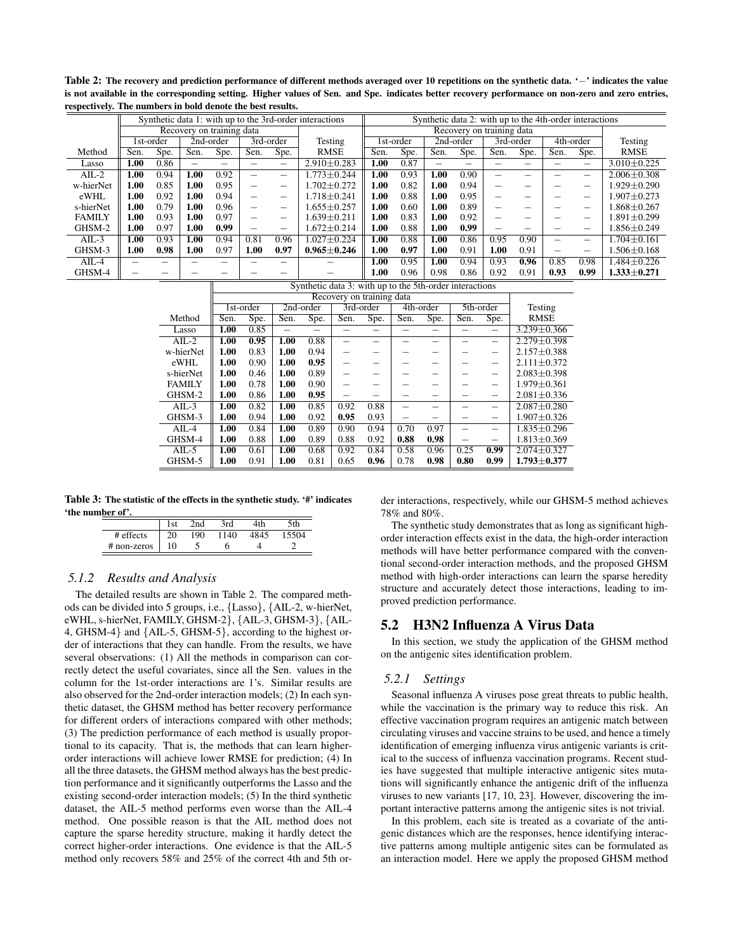Table 2: The recovery and prediction performance of different methods averaged over 10 repetitions on the synthetic data. '−' indicates the value is not available in the corresponding setting. Higher values of Sen. and Spe. indicates better recovery performance on non-zero and zero entries, respectively. The numbers in bold denote the best results.

|                                                         | Synthetic data 1: with up to the 3rd-order interactions |           |      |                           |      |              | Synthetic data 2: with up to the 4th-order interactions |                           |           |      |             |      |           |      |           |                   |
|---------------------------------------------------------|---------------------------------------------------------|-----------|------|---------------------------|------|--------------|---------------------------------------------------------|---------------------------|-----------|------|-------------|------|-----------|------|-----------|-------------------|
|                                                         |                                                         |           |      | Recovery on training data |      |              |                                                         | Recovery on training data |           |      |             |      |           |      |           |                   |
|                                                         |                                                         | 1st-order |      | 2nd-order                 |      | $3rd$ -order | Testing                                                 |                           | 1st-order |      | $2nd-order$ |      | 3rd-order |      | 4th-order | Testing           |
| Method                                                  | Sen.                                                    | Spe.      | Sen. | Spe.                      | Sen. | Spe.         | <b>RMSE</b>                                             | Sen.                      | Spe.      | Sen. | Spe.        | Sen. | Spe.      | Sen. | Spe.      | <b>RMSE</b>       |
| Lasso                                                   | 1.00                                                    | 0.86      |      |                           |      | -            | $2.910 \pm 0.283$                                       | 1.00                      | 0.87      |      |             |      |           |      | —         | $3.010 \pm 0.225$ |
| $AIL-2$                                                 | 1.00                                                    | 0.94      | 1.00 | 0.92                      |      | –            | $1.773 \pm 0.244$                                       | 1.00                      | 0.93      | 1.00 | 0.90        |      |           |      | –         | $2.006 \pm 0.308$ |
| w-hierNet                                               | 1.00                                                    | 0.85      | 1.00 | 0.95                      | -    | –            | $1.702 \pm 0.272$                                       | 1.00                      | 0.82      | 1.00 | 0.94        |      |           |      | —         | $1.929 \pm 0.290$ |
| eWHL                                                    | 1.00                                                    | 0.92      | 1.00 | 0.94                      | -    | –            | $1.718 \pm 0.241$                                       | 1.00                      | 0.88      | 1.00 | 0.95        |      |           |      | -         | $1.907 \pm 0.273$ |
| s-hierNet                                               | 1.00                                                    | 0.79      | 1.00 | 0.96                      |      | –            | $1.655 {\pm} 0.257$                                     | 1.00                      | 0.60      | 1.00 | 0.89        |      |           |      | —         | $1.868 \pm 0.267$ |
| <b>FAMILY</b>                                           | 1.00                                                    | 0.93      | 1.00 | 0.97                      |      | –            | 1.639±0.211                                             | 1.00                      | 0.83      | 1.00 | 0.92        |      |           |      | —         | $1.891 \pm 0.299$ |
| GHSM-2                                                  | 1.00                                                    | 0.97      | 1.00 | 0.99                      |      | –            | $1.672 \pm 0.214$                                       | 1.00                      | 0.88      | 1.00 | 0.99        |      |           |      | —         | $1.856 \pm 0.249$ |
| $AIL-3$                                                 | 1.00                                                    | 0.93      | 1.00 | 0.94                      | 0.81 | 0.96         | $1.027 \pm 0.224$                                       | 1.00                      | 0.88      | 1.00 | 0.86        | 0.95 | 0.90      |      | -         | $1.704 \pm 0.161$ |
| GHSM-3                                                  | 1.00                                                    | 0.98      | 1.00 | 0.97                      | 1.00 | 0.97         | $0.965 \pm 0.246$                                       | 1.00                      | 0.97      | 1.00 | 0.91        | 1.00 | 0.91      |      | —         | 1.506±0.168       |
| $AIL-4$                                                 |                                                         |           |      |                           |      |              |                                                         | 1.00                      | 0.95      | 1.00 | 0.94        | 0.93 | 0.96      | 0.85 | 0.98      | $1.484 \pm 0.226$ |
| GHSM-4                                                  |                                                         |           |      |                           |      |              |                                                         | 1.00                      | 0.96      | 0.98 | 0.86        | 0.92 | 0.91      | 0.93 | 0.99      | $1.333 \pm 0.271$ |
| Synthetic data 3: with up to the 5th-order interactions |                                                         |           |      |                           |      |              |                                                         |                           |           |      |             |      |           |      |           |                   |
| December on training data                               |                                                         |           |      |                           |      |              |                                                         |                           |           |      |             |      |           |      |           |                   |

|               | 1st-order |      | 2nd-order |      | 3rd-order |      | $4th$ -order |      | 5th-order |      | Testing           |
|---------------|-----------|------|-----------|------|-----------|------|--------------|------|-----------|------|-------------------|
| Method        | Sen.      | Spe. | Sen.      | Spe. | Sen.      | Spe. | Sen.         | Spe. | Sen.      | Spe. | <b>RMSE</b>       |
| Lasso         | 1.00      | 0.85 |           |      |           |      |              |      |           |      | $3.239 \pm 0.366$ |
| $AIL-2$       | 1.00      | 0.95 | 1.00      | 0.88 |           |      |              |      |           |      | $2.279 + 0.398$   |
| w-hierNet     | 1.00      | 0.83 | 1.00      | 0.94 |           |      |              |      |           |      | $2.157 + 0.388$   |
| eWHL          | 1.00      | 0.90 | 1.00      | 0.95 |           |      |              |      |           |      | $2.111 \pm 0.372$ |
| s-hierNet     | 1.00      | 0.46 | 1.00      | 0.89 |           |      |              |      |           | —    | $2.083 \pm 0.398$ |
| <b>FAMILY</b> | 1.00      | 0.78 | 1.00      | 0.90 |           |      |              |      |           |      | $1.979 \pm 0.361$ |
| GHSM-2        | 1.00      | 0.86 | 1.00      | 0.95 |           |      |              |      |           |      | $2.081 \pm 0.336$ |
| $AIL-3$       | 1.00      | 0.82 | 1.00      | 0.85 | 0.92      | 0.88 |              |      |           |      | $2.087 \pm 0.280$ |
| GHSM-3        | 1.00      | 0.94 | 1.00      | 0.92 | 0.95      | 0.93 |              |      |           |      | $1.907 \pm 0.326$ |
| $AIL-4$       | 1.00      | 0.84 | 1.00      | 0.89 | 0.90      | 0.94 | 0.70         | 0.97 |           |      | $1.835 \pm 0.296$ |
| GHSM-4        | 1.00      | 0.88 | 1.00      | 0.89 | 0.88      | 0.92 | 0.88         | 0.98 |           |      | $1.813 \pm 0.369$ |
| $AIL-5$       | 1.00      | 0.61 | 1.00      | 0.68 | 0.92      | 0.84 | 0.58         | 0.96 | 0.25      | 0.99 | $2.074 \pm 0.327$ |
| GHSM-5        | 1.00      | 0.91 | 1.00      | 0.81 | 0.65      | 0.96 | 0.78         | 0.98 | 0.80      | 0.99 | $1.793 \pm 0.377$ |

Table 3: The statistic of the effects in the synthetic study. '#' indicates 'the number of'.

|             | $\mathbf{C}$ <sup>1</sup><br>1 O L | 2nd | 2rd |  |
|-------------|------------------------------------|-----|-----|--|
| effects     |                                    | 190 | 40  |  |
| # non-zeros | 10                                 | ٠   |     |  |

#### *5.1.2 Results and Analysis*

The detailed results are shown in Table 2. The compared methods can be divided into 5 groups, i.e., {Lasso}, {AIL-2, w-hierNet, eWHL, s-hierNet, FAMILY, GHSM-2}, {AIL-3, GHSM-3}, {AIL-4, GHSM-4} and {AIL-5, GHSM-5}, according to the highest order of interactions that they can handle. From the results, we have several observations: (1) All the methods in comparison can correctly detect the useful covariates, since all the Sen. values in the column for the 1st-order interactions are 1's. Similar results are also observed for the 2nd-order interaction models; (2) In each synthetic dataset, the GHSM method has better recovery performance for different orders of interactions compared with other methods; (3) The prediction performance of each method is usually proportional to its capacity. That is, the methods that can learn higherorder interactions will achieve lower RMSE for prediction; (4) In all the three datasets, the GHSM method always has the best prediction performance and it significantly outperforms the Lasso and the existing second-order interaction models; (5) In the third synthetic dataset, the AIL-5 method performs even worse than the AIL-4 method. One possible reason is that the AIL method does not capture the sparse heredity structure, making it hardly detect the correct higher-order interactions. One evidence is that the AIL-5 method only recovers 58% and 25% of the correct 4th and 5th order interactions, respectively, while our GHSM-5 method achieves 78% and 80%.

The synthetic study demonstrates that as long as significant highorder interaction effects exist in the data, the high-order interaction methods will have better performance compared with the conventional second-order interaction methods, and the proposed GHSM method with high-order interactions can learn the sparse heredity structure and accurately detect those interactions, leading to improved prediction performance.

## 5.2 H3N2 Influenza A Virus Data

In this section, we study the application of the GHSM method on the antigenic sites identification problem.

### *5.2.1 Settings*

Seasonal influenza A viruses pose great threats to public health, while the vaccination is the primary way to reduce this risk. An effective vaccination program requires an antigenic match between circulating viruses and vaccine strains to be used, and hence a timely identification of emerging influenza virus antigenic variants is critical to the success of influenza vaccination programs. Recent studies have suggested that multiple interactive antigenic sites mutations will significantly enhance the antigenic drift of the influenza viruses to new variants [17, 10, 23]. However, discovering the important interactive patterns among the antigenic sites is not trivial.

In this problem, each site is treated as a covariate of the antigenic distances which are the responses, hence identifying interactive patterns among multiple antigenic sites can be formulated as an interaction model. Here we apply the proposed GHSM method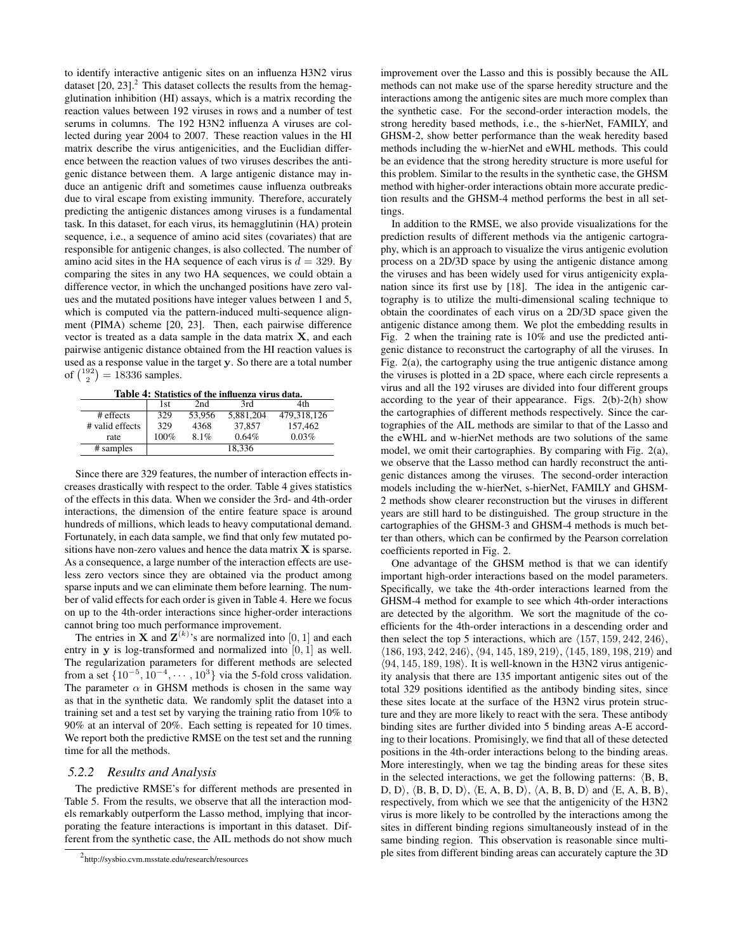to identify interactive antigenic sites on an influenza H3N2 virus dataset  $[20, 23]$ .<sup>2</sup> This dataset collects the results from the hemagglutination inhibition (HI) assays, which is a matrix recording the reaction values between 192 viruses in rows and a number of test serums in columns. The 192 H3N2 influenza A viruses are collected during year 2004 to 2007. These reaction values in the HI matrix describe the virus antigenicities, and the Euclidian difference between the reaction values of two viruses describes the antigenic distance between them. A large antigenic distance may induce an antigenic drift and sometimes cause influenza outbreaks due to viral escape from existing immunity. Therefore, accurately predicting the antigenic distances among viruses is a fundamental task. In this dataset, for each virus, its hemagglutinin (HA) protein sequence, i.e., a sequence of amino acid sites (covariates) that are responsible for antigenic changes, is also collected. The number of amino acid sites in the HA sequence of each virus is  $d = 329$ . By comparing the sites in any two HA sequences, we could obtain a difference vector, in which the unchanged positions have zero values and the mutated positions have integer values between 1 and 5, which is computed via the pattern-induced multi-sequence alignment (PIMA) scheme [20, 23]. Then, each pairwise difference vector is treated as a data sample in the data matrix X, and each pairwise antigenic distance obtained from the HI reaction values is used as a response value in the target y. So there are a total number of  $\binom{192}{2} = 18336$  samples.

| Table 4: Statistics of the influenza virus data. |      |        |           |             |  |  |  |  |  |  |  |
|--------------------------------------------------|------|--------|-----------|-------------|--|--|--|--|--|--|--|
|                                                  | 1st  | 2nd    | 3rd       | 4th         |  |  |  |  |  |  |  |
| # effects                                        | 329  | 53.956 | 5.881.204 | 479.318.126 |  |  |  |  |  |  |  |
| # valid effects                                  | 329  | 4368   | 37.857    | 157.462     |  |  |  |  |  |  |  |
| rate                                             | 100% | 8.1%   | 0.64%     | 0.03%       |  |  |  |  |  |  |  |
| # samples                                        |      |        | 18.336    |             |  |  |  |  |  |  |  |

Since there are 329 features, the number of interaction effects increases drastically with respect to the order. Table 4 gives statistics of the effects in this data. When we consider the 3rd- and 4th-order interactions, the dimension of the entire feature space is around hundreds of millions, which leads to heavy computational demand. Fortunately, in each data sample, we find that only few mutated positions have non-zero values and hence the data matrix  $X$  is sparse. As a consequence, a large number of the interaction effects are useless zero vectors since they are obtained via the product among sparse inputs and we can eliminate them before learning. The number of valid effects for each order is given in Table 4. Here we focus on up to the 4th-order interactions since higher-order interactions cannot bring too much performance improvement.

The entries in **X** and  $\mathbf{Z}^{(k)}$ 's are normalized into [0, 1] and each entry in  $y$  is log-transformed and normalized into  $[0, 1]$  as well. The regularization parameters for different methods are selected from a set  $\{10^{-5}, 10^{-4}, \cdots, 10^{3}\}$  via the 5-fold cross validation. The parameter  $\alpha$  in GHSM methods is chosen in the same way as that in the synthetic data. We randomly split the dataset into a training set and a test set by varying the training ratio from 10% to 90% at an interval of 20%. Each setting is repeated for 10 times. We report both the predictive RMSE on the test set and the running time for all the methods.

### *5.2.2 Results and Analysis*

The predictive RMSE's for different methods are presented in Table 5. From the results, we observe that all the interaction models remarkably outperform the Lasso method, implying that incorporating the feature interactions is important in this dataset. Different from the synthetic case, the AIL methods do not show much

improvement over the Lasso and this is possibly because the AIL methods can not make use of the sparse heredity structure and the interactions among the antigenic sites are much more complex than the synthetic case. For the second-order interaction models, the strong heredity based methods, i.e., the s-hierNet, FAMILY, and GHSM-2, show better performance than the weak heredity based methods including the w-hierNet and eWHL methods. This could be an evidence that the strong heredity structure is more useful for this problem. Similar to the results in the synthetic case, the GHSM method with higher-order interactions obtain more accurate prediction results and the GHSM-4 method performs the best in all settings.

In addition to the RMSE, we also provide visualizations for the prediction results of different methods via the antigenic cartography, which is an approach to visualize the virus antigenic evolution process on a 2D/3D space by using the antigenic distance among the viruses and has been widely used for virus antigenicity explanation since its first use by [18]. The idea in the antigenic cartography is to utilize the multi-dimensional scaling technique to obtain the coordinates of each virus on a 2D/3D space given the antigenic distance among them. We plot the embedding results in Fig. 2 when the training rate is 10% and use the predicted antigenic distance to reconstruct the cartography of all the viruses. In Fig. 2(a), the cartography using the true antigenic distance among the viruses is plotted in a 2D space, where each circle represents a virus and all the 192 viruses are divided into four different groups according to the year of their appearance. Figs. 2(b)-2(h) show the cartographies of different methods respectively. Since the cartographies of the AIL methods are similar to that of the Lasso and the eWHL and w-hierNet methods are two solutions of the same model, we omit their cartographies. By comparing with Fig. 2(a), we observe that the Lasso method can hardly reconstruct the antigenic distances among the viruses. The second-order interaction models including the w-hierNet, s-hierNet, FAMILY and GHSM-2 methods show clearer reconstruction but the viruses in different years are still hard to be distinguished. The group structure in the cartographies of the GHSM-3 and GHSM-4 methods is much better than others, which can be confirmed by the Pearson correlation coefficients reported in Fig. 2.

One advantage of the GHSM method is that we can identify important high-order interactions based on the model parameters. Specifically, we take the 4th-order interactions learned from the GHSM-4 method for example to see which 4th-order interactions are detected by the algorithm. We sort the magnitude of the coefficients for the 4th-order interactions in a descending order and then select the top 5 interactions, which are  $\langle 157, 159, 242, 246 \rangle$ ,  $(186, 193, 242, 246), (94, 145, 189, 219), (145, 189, 198, 219)$  and  $(94, 145, 189, 198)$ . It is well-known in the H3N2 virus antigenicity analysis that there are 135 important antigenic sites out of the total 329 positions identified as the antibody binding sites, since these sites locate at the surface of the H3N2 virus protein structure and they are more likely to react with the sera. These antibody binding sites are further divided into 5 binding areas A-E according to their locations. Promisingly, we find that all of these detected positions in the 4th-order interactions belong to the binding areas. More interestingly, when we tag the binding areas for these sites in the selected interactions, we get the following patterns:  $\langle B, B, \rangle$ D, D,  $\langle B, B, D, D \rangle$ ,  $\langle E, A, B, D \rangle$ ,  $\langle A, B, B, D \rangle$  and  $\langle E, A, B, B \rangle$ , respectively, from which we see that the antigenicity of the H3N2 virus is more likely to be controlled by the interactions among the sites in different binding regions simultaneously instead of in the same binding region. This observation is reasonable since multiple sites from different binding areas can accurately capture the 3D

<sup>2</sup> http://sysbio.cvm.msstate.edu/research/resources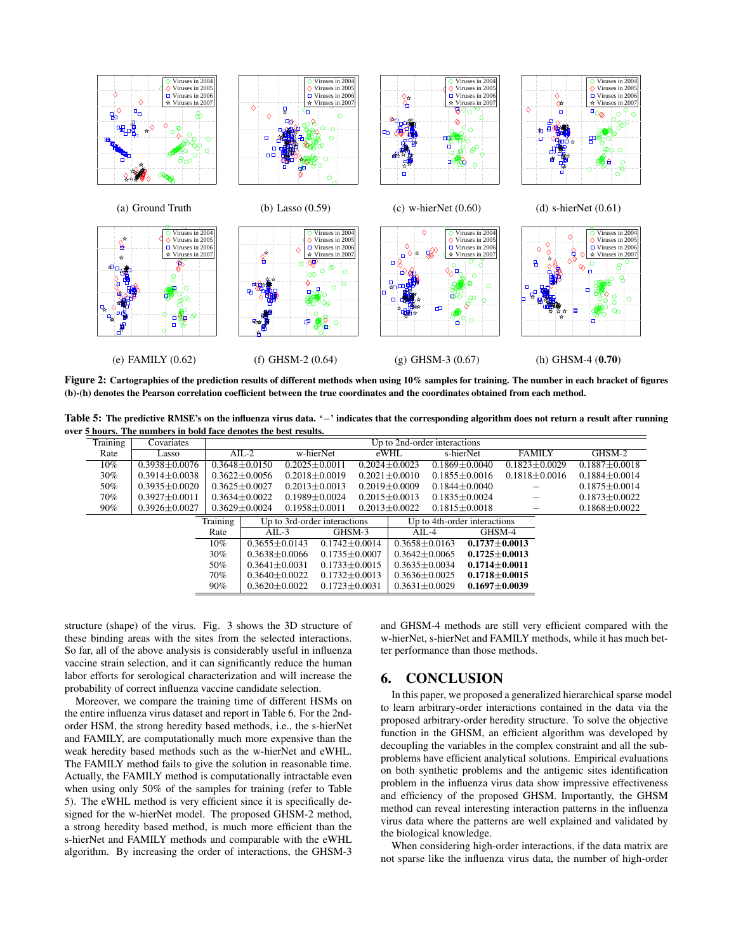

Figure 2: Cartographies of the prediction results of different methods when using 10% samples for training. The number in each bracket of figures (b)-(h) denotes the Pearson correlation coefficient between the true coordinates and the coordinates obtained from each method.

Table 5: The predictive RMSE's on the influenza virus data. '–' indicates that the corresponding algorithm does not return a result after running over 5 hours. The numbers in bold face denotes the best results.

| <b>Training</b> | Covariates          |          |                     |                              |                   | Up to 2nd-order interactions |                              |                     |                     |
|-----------------|---------------------|----------|---------------------|------------------------------|-------------------|------------------------------|------------------------------|---------------------|---------------------|
| Rate            | Lasso               |          | $\text{AIL-2}$      | w-hierNet                    |                   | eWHL                         | s-hierNet                    | <b>FAMILY</b>       | $GHSM-2$            |
| $10\%$          | $0.3938 + 0.0076$   |          | $0.3648 + 0.0150$   | $0.2025 + 0.0011$            |                   | $0.2024 + 0.0023$            | $0.1869 + 0.0040$            | $0.1823 + 0.0029$   | $0.1887 + 0.0018$   |
| 30%             | $0.3914 \pm 0.0038$ |          | $0.3622 + 0.0056$   | $0.2018 + 0.0019$            |                   | $0.2021 + 0.0010$            | $0.1855 + 0.0016$            | $0.1818 \pm 0.0016$ | $0.1884 + 0.0014$   |
| 50%             | $0.3935 + 0.0020$   |          | $0.3625 + 0.0027$   | $0.2013 + 0.0013$            |                   | $0.2019 + 0.0009$            | $0.1844 + 0.0040$            |                     | $0.1875 + 0.0014$   |
| 70%             | $0.3927 + 0.0011$   |          | $0.3634 + 0.0022$   | $0.1989 + 0.0024$            |                   | $0.2015 + 0.0013$            | $0.1835 + 0.0024$            |                     | $0.1873 \pm 0.0022$ |
| $90\%$          | $0.3926 \pm 0.0027$ |          | $0.3629 \pm 0.0024$ | $0.1958 \pm 0.0011$          |                   | $0.2013 \pm 0.0022$          | $0.1815 \pm 0.0018$          |                     | $0.1868 \pm 0.0022$ |
|                 |                     | Training |                     | Up to 3rd-order interactions |                   |                              | Up to 4th-order interactions |                     |                     |
|                 |                     | Rate     | $AIL-3$             |                              | $GHSM-3$          | $ATL-4$                      | GHSM-4                       |                     |                     |
|                 |                     | 10%      | $0.3655 \pm 0.0143$ |                              | $0.1742 + 0.0014$ | $0.3658 + 0.0163$            | $0.1737 + 0.0013$            |                     |                     |
|                 |                     | 30%      | $0.3638 + 0.0066$   | $0.1735 + 0.0007$            |                   | $0.3642 + 0.0065$            | $0.1725 + 0.0013$            |                     |                     |
|                 |                     | 50%      | $0.3641 + 0.0031$   |                              | $0.1733 + 0.0015$ | $0.3635 + 0.0034$            | $0.1714 + 0.0011$            |                     |                     |
|                 |                     | 70%      | $0.3640 + 0.0022$   |                              | $0.1732 + 0.0013$ | $0.3636 + 0.0025$            | $0.1718 + 0.0015$            |                     |                     |
|                 |                     | 90%      | $0.3620 + 0.0022$   | $0.1723 + 0.0031$            |                   | $0.3631 \pm 0.0029$          | $0.1697 + 0.0039$            |                     |                     |

structure (shape) of the virus. Fig. 3 shows the 3D structure of these binding areas with the sites from the selected interactions. So far, all of the above analysis is considerably useful in influenza vaccine strain selection, and it can significantly reduce the human labor efforts for serological characterization and will increase the probability of correct influenza vaccine candidate selection.

Moreover, we compare the training time of different HSMs on the entire influenza virus dataset and report in Table 6. For the 2ndorder HSM, the strong heredity based methods, i.e., the s-hierNet and FAMILY, are computationally much more expensive than the weak heredity based methods such as the w-hierNet and eWHL. The FAMILY method fails to give the solution in reasonable time. Actually, the FAMILY method is computationally intractable even when using only 50% of the samples for training (refer to Table 5). The eWHL method is very efficient since it is specifically designed for the w-hierNet model. The proposed GHSM-2 method, a strong heredity based method, is much more efficient than the s-hierNet and FAMILY methods and comparable with the eWHL algorithm. By increasing the order of interactions, the GHSM-3

and GHSM-4 methods are still very efficient compared with the w-hierNet, s-hierNet and FAMILY methods, while it has much better performance than those methods.

### 6. CONCLUSION

In this paper, we proposed a generalized hierarchical sparse model to learn arbitrary-order interactions contained in the data via the proposed arbitrary-order heredity structure. To solve the objective function in the GHSM, an efficient algorithm was developed by decoupling the variables in the complex constraint and all the subproblems have efficient analytical solutions. Empirical evaluations on both synthetic problems and the antigenic sites identification problem in the influenza virus data show impressive effectiveness and efficiency of the proposed GHSM. Importantly, the GHSM method can reveal interesting interaction patterns in the influenza virus data where the patterns are well explained and validated by the biological knowledge.

When considering high-order interactions, if the data matrix are not sparse like the influenza virus data, the number of high-order